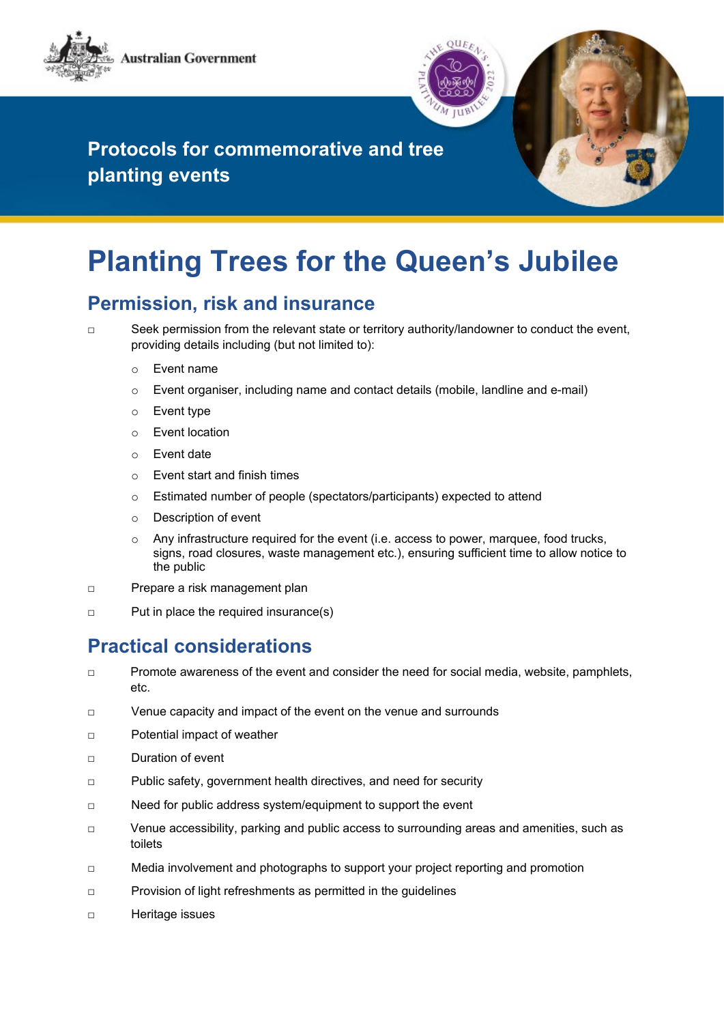



## **Protocols for commemorative and tree planting events**

# **Planting Trees for the Queen's Jubilee**

#### **Permission, risk and insurance**

□ Seek permission from the relevant state or territory authority/landowner to conduct the event, providing details including (but not limited to):

- o Event name
- $\circ$  Event organiser, including name and contact details (mobile, landline and e-mail)
- o Event type
- o Event location
- o Event date
- o Event start and finish times
- o Estimated number of people (spectators/participants) expected to attend
- o Description of event
- $\circ$  Any infrastructure required for the event (i.e. access to power, marquee, food trucks, signs, road closures, waste management etc.), ensuring sufficient time to allow notice to the public
- □ Prepare a risk management plan
- □ Put in place the required insurance(s)

#### **Practical considerations**

- □ Promote awareness of the event and consider the need for social media, website, pamphlets, etc.
- □ Venue capacity and impact of the event on the venue and surrounds
- □ Potential impact of weather
- □ Duration of event
- □ Public safety, government health directives, and need for security
- □ Need for public address system/equipment to support the event
- □ Venue accessibility, parking and public access to surrounding areas and amenities, such as toilets
- □ Media involvement and photographs to support your project reporting and promotion
- □ Provision of light refreshments as permitted in the guidelines
- □ Heritage issues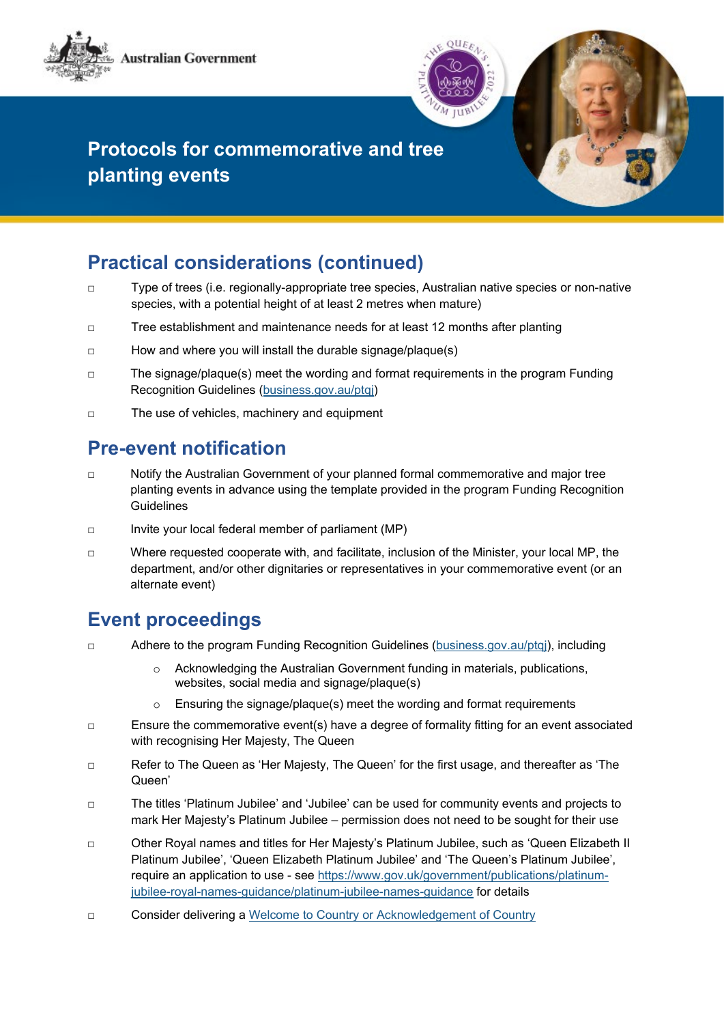



## **Protocols for commemorative and tree planting events**

## **Practical considerations (continued)**

- □ Type of trees (i.e. regionally-appropriate tree species, Australian native species or non-native species, with a potential height of at least 2 metres when mature)
- □ Tree establishment and maintenance needs for at least 12 months after planting
- □ How and where you will install the durable signage/plaque(s)
- □ The signage/plaque(s) meet the wording and format requirements in the program Funding Recognition Guidelines [\(business.gov.au/ptqj\)](https://business.gov.au/ptqj)
- □ The use of vehicles, machinery and equipment

#### **Pre-event notification**

- □ Notify the Australian Government of your planned formal commemorative and major tree planting events in advance using the template provided in the program Funding Recognition Guidelines
- □ Invite your local federal member of parliament (MP)
- □ Where requested cooperate with, and facilitate, inclusion of the Minister, your local MP, the department, and/or other dignitaries or representatives in your commemorative event (or an alternate event)

#### **Event proceedings**

- □ Adhere to the program Funding Recognition Guidelines [\(business.gov.au/ptqj\)](https://business.gov.au/ptqj), including
	- $\circ$  Acknowledging the Australian Government funding in materials, publications, websites, social media and signage/plaque(s)
	- o Ensuring the signage/plaque(s) meet the wording and format requirements
- □ Ensure the commemorative event(s) have a degree of formality fitting for an event associated with recognising Her Majesty. The Queen
- □ Refer to The Queen as 'Her Majesty, The Queen' for the first usage, and thereafter as 'The Queen'
- □ The titles 'Platinum Jubilee' and 'Jubilee' can be used for community events and projects to mark Her Majesty's Platinum Jubilee – permission does not need to be sought for their use
- □ Other Royal names and titles for Her Majesty's Platinum Jubilee, such as 'Queen Elizabeth II Platinum Jubilee', 'Queen Elizabeth Platinum Jubilee' and 'The Queen's Platinum Jubilee', require an application to use - see [https://www.gov.uk/government/publications/platinum](https://www.gov.uk/government/publications/platinum-jubilee-royal-names-guidance/platinum-jubilee-names-guidance)[jubilee-royal-names-guidance/platinum-jubilee-names-guidance](https://www.gov.uk/government/publications/platinum-jubilee-royal-names-guidance/platinum-jubilee-names-guidance) for details
- □ Consider delivering [a Welcome to Country or Acknowledgement of Country](https://www.indigenous.gov.au/contact-us/welcome_acknowledgement-country)